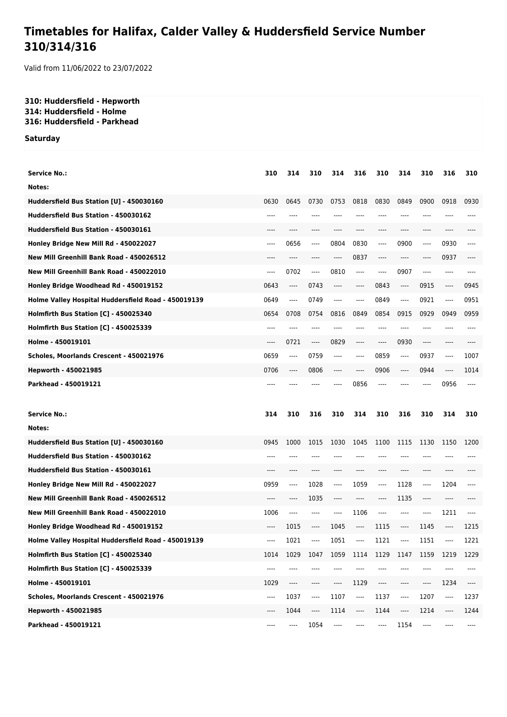## **Timetables for Halifax, Calder Valley & Huddersfield Service Number 310/314/316**

Valid from 11/06/2022 to 23/07/2022

## **310: Huddersfield - Hepworth 314: Huddersfield - Holme 316: Huddersfield - Parkhead**

**Saturday**

| <b>Service No.:</b>                                 | 310   | 314   | 310                           | 314   | 316  | 310     | 314                   | 310  | 316      | 310                           |
|-----------------------------------------------------|-------|-------|-------------------------------|-------|------|---------|-----------------------|------|----------|-------------------------------|
| Notes:                                              |       |       |                               |       |      |         |                       |      |          |                               |
| Huddersfield Bus Station [U] - 450030160            | 0630  | 0645  | 0730                          | 0753  | 0818 | 0830    | 0849                  | 0900 | 0918     | 0930                          |
| Huddersfield Bus Station - 450030162                | ----  |       |                               |       |      |         | ----                  |      |          |                               |
| Huddersfield Bus Station - 450030161                | ----  | ----  | ----                          | ----  |      | $---$   | ----                  | ---- | $\cdots$ |                               |
| Honley Bridge New Mill Rd - 450022027               | $---$ | 0656  | $-----$                       | 0804  | 0830 | ----    | 0900                  | ---- | 0930     | ----                          |
| New Mill Greenhill Bank Road - 450026512            | ----  | ----  | ----                          | ----  | 0837 | $---$   | $---$                 | ---- | 0937     | ----                          |
| New Mill Greenhill Bank Road - 450022010            | $---$ | 0702  | $---$                         | 0810  | ---- | ----    | 0907                  | ---- | $---$    | ----                          |
| Honley Bridge Woodhead Rd - 450019152               | 0643  | ----  | 0743                          | ----  | ---- | 0843    | $\qquad \qquad - - -$ | 0915 | $---$    | 0945                          |
| Holme Valley Hospital Huddersfield Road - 450019139 | 0649  | ----  | 0749                          | $---$ | ---- | 0849    | ----                  | 0921 | $\cdots$ | 0951                          |
| Holmfirth Bus Station [C] - 450025340               | 0654  | 0708  | 0754                          | 0816  | 0849 | 0854    | 0915                  | 0929 | 0949     | 0959                          |
| <b>Holmfirth Bus Station [C] - 450025339</b>        | ----  | ----  | $---$                         | ----  | ---- | $---$   | $---$                 | ---- | ----     | ----                          |
| Holme - 450019101                                   | $---$ | 0721  | $\hspace{1.5cm} \textbf{---}$ | 0829  | ---- | $---$   | 0930                  | ---- | $---$    |                               |
| Scholes, Moorlands Crescent - 450021976             | 0659  | $---$ | 0759                          | ----  | ---- | 0859    | $---$                 | 0937 | $---$    | 1007                          |
| Hepworth - 450021985                                | 0706  | ----  | 0806                          | $---$ | ---- | 0906    | $-----$               | 0944 | $---$    | 1014                          |
| Parkhead - 450019121                                | ----  |       |                               | ----  | 0856 | $---$   | ----                  | ---- | 0956     | $---$                         |
|                                                     |       |       |                               |       |      |         |                       |      |          |                               |
|                                                     |       |       |                               |       |      |         |                       |      |          |                               |
| <b>Service No.:</b>                                 | 314   | 310   | 316                           | 310   | 314  | 310     | 316                   | 310  | 314      | 310                           |
| Notes:                                              |       |       |                               |       |      |         |                       |      |          |                               |
| Huddersfield Bus Station [U] - 450030160            | 0945  | 1000  | 1015                          | 1030  | 1045 | 1100    | 1115                  | 1130 | 1150     | 1200                          |
| Huddersfield Bus Station - 450030162                | ----  |       |                               |       |      |         |                       |      |          |                               |
| Huddersfield Bus Station - 450030161                | ----  | ----  | ----                          |       |      | ----    | ----                  | ---- | ----     |                               |
| Honley Bridge New Mill Rd - 450022027               | 0959  | ----  | 1028                          | ----  | 1059 | $-----$ | 1128                  | ---- | 1204     |                               |
| New Mill Greenhill Bank Road - 450026512            | ----  | ----  | 1035                          | ----  | ---- | ----    | 1135                  | ---- | ----     |                               |
| New Mill Greenhill Bank Road - 450022010            | 1006  | ----  | ----                          | ----  | 1106 | ----    | ----                  | ---- | 1211     | ----                          |
| Honley Bridge Woodhead Rd - 450019152               | ----  | 1015  | $-----$                       | 1045  | ---- | 1115    | ----                  | 1145 | $\cdots$ | 1215                          |
| Holme Valley Hospital Huddersfield Road - 450019139 | ----  | 1021  | ----                          | 1051  | ---- | 1121    | ----                  | 1151 | ----     | 1221                          |
| Holmfirth Bus Station [C] - 450025340               | 1014  | 1029  | 1047                          | 1059  | 1114 | 1129    | 1147                  | 1159 | 1219     | 1229                          |
| Holmfirth Bus Station [C] - 450025339               | ----  |       |                               |       |      |         |                       |      |          |                               |
| Holme - 450019101                                   | 1029  | ----  | ----                          | ----  | 1129 | ----    | ----                  | ---- | 1234     | $\hspace{1.5cm} \textbf{---}$ |
| Scholes, Moorlands Crescent - 450021976             | ----  | 1037  | ----                          | 1107  | ---- | 1137    | ----                  | 1207 | ----     | 1237                          |
| Hepworth - 450021985                                | ----  | 1044  | $\hspace{1.5cm} \textbf{---}$ | 1114  | ---- | 1144    | ----                  | 1214 | $\cdots$ | 1244                          |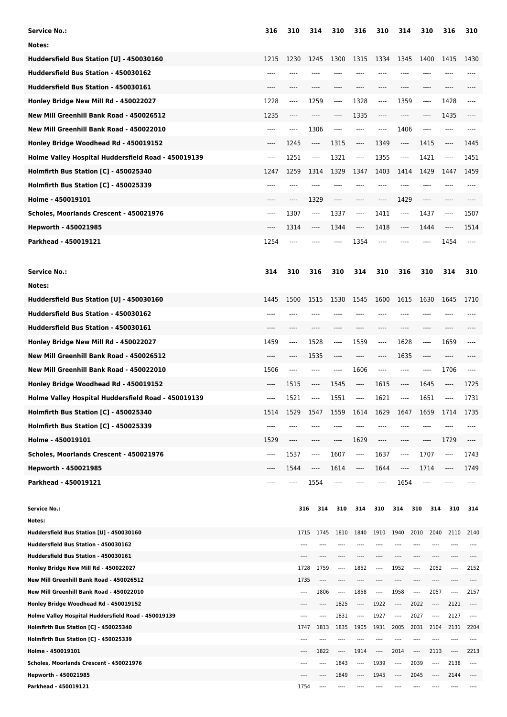| <b>Service No.:</b>                                                              | 316   | 310      | 314                           | 310          | 316      | 310                       | 314          | 310                      |              | 316                           | 310                                    |
|----------------------------------------------------------------------------------|-------|----------|-------------------------------|--------------|----------|---------------------------|--------------|--------------------------|--------------|-------------------------------|----------------------------------------|
| Notes:                                                                           |       |          |                               |              |          |                           |              |                          |              |                               |                                        |
| Huddersfield Bus Station [U] - 450030160                                         | 1215  | 1230     | 1245                          | 1300         | 1315     | 1334                      | 1345         | 1400                     |              | 1415                          | 1430                                   |
| Huddersfield Bus Station - 450030162                                             | $---$ | ----     |                               | ----         |          | $---$                     | ----         | ----                     |              | ----                          |                                        |
| Huddersfield Bus Station - 450030161                                             | $---$ | ----     | $---$                         | ----         | ----     | $---$                     | ----         | ----                     |              | $---$                         |                                        |
| Honley Bridge New Mill Rd - 450022027                                            | 1228  | ----     | 1259                          | ----         | 1328     | $---$                     | 1359         | ----                     |              | 1428                          | ----                                   |
| New Mill Greenhill Bank Road - 450026512                                         | 1235  | ----     | $---$                         | ----         | 1335     | $---$                     | ----         | ----                     |              | 1435                          | ----                                   |
| New Mill Greenhill Bank Road - 450022010                                         |       |          |                               |              |          |                           |              |                          |              |                               |                                        |
|                                                                                  | ----  | ----     | 1306                          | ----         | ----     | $---$                     | 1406         | ----                     |              | $---$                         | ----                                   |
| Honley Bridge Woodhead Rd - 450019152                                            | $---$ | 1245     | $\hspace{1.5cm} \textbf{---}$ | 1315         | ----     | 1349                      | ----         | 1415                     |              | $\hspace{1.5cm} \textbf{---}$ | 1445                                   |
| Holme Valley Hospital Huddersfield Road - 450019139                              | $---$ | 1251     | ----                          | 1321         | ----     | 1355                      | ----         | 1421                     |              | ----                          | 1451                                   |
| Holmfirth Bus Station [C] - 450025340                                            | 1247  | 1259     | 1314                          | 1329         | 1347     | 1403                      | 1414         | 1429                     |              | 1447                          | 1459                                   |
| <b>Holmfirth Bus Station [C] - 450025339</b>                                     | $---$ | ----     | ----                          | ----         |          | $---$                     | ----         | ----                     |              | ----                          | ----                                   |
| Holme - 450019101                                                                | $---$ | ----     | 1329                          | $---$        | ----     | $---$                     | 1429         | ----                     |              | $---$                         | ----                                   |
| Scholes, Moorlands Crescent - 450021976                                          | $---$ | 1307     | $\hspace{1.5cm} \textbf{---}$ | 1337         | $-----$  | 1411                      | ----         | 1437                     |              | ----                          | 1507                                   |
| Hepworth - 450021985                                                             | $---$ | 1314     | $---$                         | 1344         | ----     | 1418                      | $---$        | 1444                     |              | $---$                         | 1514                                   |
| Parkhead - 450019121                                                             | 1254  | ----     |                               | $---$        | 1354     | $---$                     | ----         | ----                     |              | 1454                          | $---$                                  |
|                                                                                  |       |          |                               |              |          |                           |              |                          |              |                               |                                        |
| <b>Service No.:</b>                                                              | 314   | 310      | 316                           | 310          | 314      | 310                       | 316          | 310                      |              | 314                           | 310                                    |
| Notes:                                                                           |       |          |                               |              |          |                           |              |                          |              |                               |                                        |
| Huddersfield Bus Station [U] - 450030160                                         | 1445  | 1500     | 1515                          | 1530         | 1545     | 1600                      | 1615         | 1630                     |              | 1645                          | 1710                                   |
| Huddersfield Bus Station - 450030162                                             | ----  |          |                               |              |          |                           | ----         |                          |              |                               |                                        |
| Huddersfield Bus Station - 450030161                                             | ----  | ----     | ----                          | ----         | ----     | ----                      | ----         | ----                     |              | ----                          |                                        |
| Honley Bridge New Mill Rd - 450022027                                            | 1459  | ----     | 1528                          | ----         | 1559     | ----                      | 1628         | ----                     |              | 1659                          | ----                                   |
| New Mill Greenhill Bank Road - 450026512                                         | ----  | ----     | 1535                          | ----         | ----     | ----                      | 1635         | ----                     |              | ----                          |                                        |
| New Mill Greenhill Bank Road - 450022010                                         | 1506  |          |                               |              |          |                           |              |                          |              |                               |                                        |
|                                                                                  |       | ----     | ----                          | ----         | 1606     | ----                      | ----         | ----                     |              | 1706                          | ----                                   |
| Honley Bridge Woodhead Rd - 450019152                                            | ----  | 1515     | ----                          | 1545         | ----     | 1615                      | ----         | 1645                     |              | ----                          | 1725                                   |
| Holme Valley Hospital Huddersfield Road - 450019139                              | ----  | 1521     | ----                          | 1551         | $---$    | 1621                      | ----         | 1651                     |              | ----                          | 1731                                   |
| Holmfirth Bus Station [C] - 450025340                                            | 1514  | 1529     | 1547                          | 1559         | 1614     | 1629                      | 1647         | 1659                     |              | 1714                          | 1735                                   |
| <b>Holmfirth Bus Station [C] - 450025339</b>                                     | ----  |          |                               |              |          |                           |              |                          |              |                               |                                        |
| Holme - 450019101                                                                | 1529  | ----     | ----                          | ----         | 1629     | ----                      | ----         | ----                     |              | 1729                          | ----                                   |
| Scholes, Moorlands Crescent - 450021976                                          | ----  | 1537     | $-----$                       | 1607         | ----     | 1637                      | ----         | 1707                     |              | ----                          | 1743                                   |
| Hepworth - 450021985                                                             | ----  | 1544     | ----                          | 1614         | ----     | 1644                      | ----         | 1714                     |              |                               | 1749                                   |
| Parkhead - 450019121                                                             |       | ----     | 1554                          |              |          | ----                      | 1654         |                          |              |                               |                                        |
|                                                                                  |       |          |                               |              |          |                           |              |                          |              |                               |                                        |
| <b>Service No.:</b>                                                              |       |          | 316<br>314                    | 310          | 314      | 310                       | 314          | 310                      | 314          | 310                           | 314                                    |
| Notes:                                                                           |       |          | 1745<br>1715                  | 1810         | 1840     | 1910                      | 1940         | 2010                     | 2040         | 2110                          | 2140                                   |
| Huddersfield Bus Station [U] - 450030160<br>Huddersfield Bus Station - 450030162 |       |          |                               |              |          |                           |              |                          |              |                               |                                        |
| Huddersfield Bus Station - 450030161                                             |       |          |                               |              |          |                           |              |                          |              |                               |                                        |
| Honley Bridge New Mill Rd - 450022027                                            |       |          | 1728<br>1759                  | ----         | 1852     | ----                      | 1952         | $\overline{\phantom{a}}$ | 2052         | $\overline{\phantom{a}}$      | 2152                                   |
| New Mill Greenhill Bank Road - 450026512                                         |       |          | 1735<br>$---$                 |              |          | ----                      | ----         | ----                     | $---$        | ----                          | ----                                   |
| New Mill Greenhill Bank Road - 450022010                                         |       | $^{***}$ | 1806                          | ----         | 1858     | ----                      | 1958         | ----                     | 2057         | $\cdots$                      | 2157                                   |
| Honley Bridge Woodhead Rd - 450019152                                            |       |          | ----<br>----                  | 1825         | ----     | 1922                      | ----         | 2022                     | ----         | 2121                          | ----                                   |
| Holme Valley Hospital Huddersfield Road - 450019139                              |       | ----     | $---$                         | 1831         | $^{***}$ | 1927                      | ----         | 2027                     | ----         | 2127                          | $\cdots$                               |
| <b>Holmfirth Bus Station [C] - 450025340</b>                                     |       |          | 1813<br>1747                  | 1835         | 1905     | 1931                      | 2005         | 2031                     | 2104         | 2131                          | 2204                                   |
| <b>Holmfirth Bus Station [C] - 450025339</b>                                     |       |          |                               |              |          | ----                      |              | ----                     |              | ----                          |                                        |
| Holme - 450019101                                                                |       | $---$    | 1822                          | ----         | 1914     | $\hspace{0.05cm}\ldots$ . | 2014         | ----                     | 2113         | $\hspace{1.5cm} \textbf{---}$ | 2213                                   |
| Scholes, Moorlands Crescent - 450021976<br>Hepworth - 450021985                  |       | ----     | ----<br>----                  | 1843<br>1849 | $^{***}$ | 1939<br>1945              | ----<br>---- | 2039<br>2045             | ----<br>---- | 2138<br>2144                  | $---$<br>$\hspace{1.5cm} \textbf{---}$ |
| Parkhead - 450019121                                                             |       |          | 1754<br>$---$                 | ----         |          |                           |              | ----                     |              | ----                          |                                        |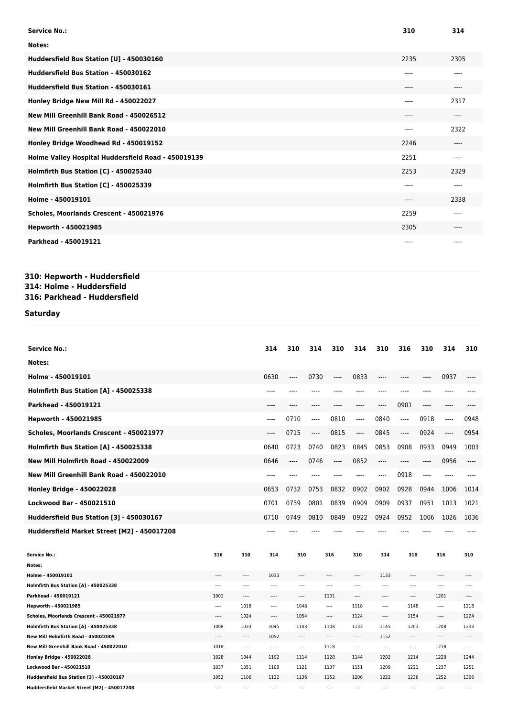| <b>Service No.:</b>                                 | 310  | 314  |
|-----------------------------------------------------|------|------|
| Notes:                                              |      |      |
| Huddersfield Bus Station [U] - 450030160            | 2235 | 2305 |
| Huddersfield Bus Station - 450030162                | ---- | ---- |
| Huddersfield Bus Station - 450030161                | ---- | ---- |
| Honley Bridge New Mill Rd - 450022027               | ---- | 2317 |
| New Mill Greenhill Bank Road - 450026512            | ---- | ---- |
| New Mill Greenhill Bank Road - 450022010            | ---- | 2322 |
| Honley Bridge Woodhead Rd - 450019152               | 2246 | ---- |
| Holme Valley Hospital Huddersfield Road - 450019139 | 2251 | ---- |
| Holmfirth Bus Station [C] - 450025340               | 2253 | 2329 |
| Holmfirth Bus Station [C] - 450025339               | ---- | ---- |
| Holme - 450019101                                   | ---- | 2338 |
| Scholes, Moorlands Crescent - 450021976             | 2259 | ---- |
| Hepworth - 450021985                                | 2305 | ---- |
| Parkhead - 450019121                                | ---- | ---- |

## **310: Hepworth - Huddersfield 314: Holme - Huddersfield 316: Parkhead - Huddersfield**

## **Saturday**

| Service No.:                                |          |          | 314      | 310      | 314  | 310      | 314      | 310      | 316     | 310   | 314      | 310   |
|---------------------------------------------|----------|----------|----------|----------|------|----------|----------|----------|---------|-------|----------|-------|
| Notes:                                      |          |          |          |          |      |          |          |          |         |       |          |       |
| Holme - 450019101                           |          |          | 0630     | ----     | 0730 | $---$    | 0833     | $---$    | $---$   | $---$ | 0937     | ----  |
| Holmfirth Bus Station [A] - 450025338       |          |          | ----     | $---$    | ---- | ----     | $---$    | ----     | ----    | $---$ | ----     |       |
| Parkhead - 450019121                        |          |          | ----     | ----     | ---- | ----     | $---$    | ----     | 0901    | $---$ | ----     | ----  |
| Hepworth - 450021985                        |          |          | $---$    | 0710     | ---- | 0810     | $---$    | 0840     | $---$   | 0918  | ----     | 0948  |
| Scholes, Moorlands Crescent - 450021977     |          |          | ----     | 0715     | ---- | 0815     | ----     | 0845     | $-----$ | 0924  | ----     | 0954  |
| Holmfirth Bus Station [A] - 450025338       |          |          | 0640     | 0723     | 0740 | 0823     | 0845     | 0853     | 0908    | 0933  | 0949     | 1003  |
| New Mill Holmfirth Road - 450022009         |          |          | 0646     | ----     | 0746 | ----     | 0852     | ----     | ----    | ----  | 0956     | ----  |
| New Mill Greenhill Bank Road - 450022010    |          |          | ----     |          |      |          |          | ----     | 0918    | ----  | ----     |       |
| <b>Honley Bridge - 450022028</b>            |          |          | 0653     | 0732     | 0753 | 0832     | 0902     | 0902     | 0928    | 0944  | 1006     | 1014  |
| <b>Lockwood Bar - 450021510</b>             |          |          | 0701     | 0739     | 0801 | 0839     | 0909     | 0909     | 0937    | 0951  | 1013     | 1021  |
| Huddersfield Bus Station [3] - 450030167    |          |          | 0710     | 0749     | 0810 | 0849     | 0922     | 0924     | 0952    | 1006  | 1026     | 1036  |
| Huddersfield Market Street [M2] - 450017208 |          |          | ----     |          |      |          |          |          |         |       |          |       |
|                                             |          |          |          |          |      |          |          |          |         |       |          |       |
| <b>Service No.:</b>                         | 316      | 310      | 314      | 310      |      | 316      | 310      | 314      | 310     |       | 316      | 310   |
| Notes:                                      |          |          |          |          |      |          |          |          |         |       |          |       |
| Holme - 450019101                           | $---$    | $\cdots$ | 1033     | ----     |      | $\cdots$ | $\cdots$ | 1133     | ----    |       | $\cdots$ | ----  |
| Holmfirth Bus Station [A] - 450025338       | $\cdots$ |          |          |          |      |          | $\cdots$ |          |         |       | $\cdots$ |       |
| Parkhead - 450019121                        | 1001     | ----     |          | ----     |      | 1101     | ----     |          |         |       | 1201     | $---$ |
| Hepworth - 450021985                        | $\cdots$ | 1018     | $\cdots$ | 1048     |      | $\cdots$ | 1118     | $\cdots$ | 1148    |       | $\cdots$ | 1218  |
| Scholes, Moorlands Crescent - 450021977     |          | 1024     |          | 1054     |      |          | 1124     | ----     | 1154    |       |          | 1224  |
| Holmfirth Bus Station [A] - 450025338       | 1008     | 1033     | 1045     | 1103     |      | 1108     | 1133     | 1145     | 1203    |       | 1208     | 1233  |
| New Mill Holmfirth Road - 450022009         | ----     | ----     | 1052     | $\cdots$ |      | ----     | ----     | 1152     | ----    |       | ----     |       |
| New Mill Greenhill Bank Road - 450022010    | 1018     |          | ----     | ----     |      | 1118     | ----     | $\cdots$ | ----    |       | 1218     | ----  |
| <b>Honley Bridge - 450022028</b>            | 1028     | 1044     | 1102     | 1114     |      | 1128     | 1144     | 1202     | 1214    |       | 1228     | 1244  |
| Lockwood Bar - 450021510                    | 1037     | 1051     | 1109     | 1121     |      | 1137     | 1151     | 1209     | 1221    |       | 1237     | 1251  |
| Huddersfield Bus Station [3] - 450030167    | 1052     | 1106     | 1122     | 1136     |      | 1152     | 1206     | 1222     | 1236    |       | 1252     | 1306  |
| Huddersfield Market Street [M2] - 450017208 | $\cdots$ | ----     | $\cdots$ | $\cdots$ |      | ----     | $\cdots$ | ----     | ----    |       | $\cdots$ | $---$ |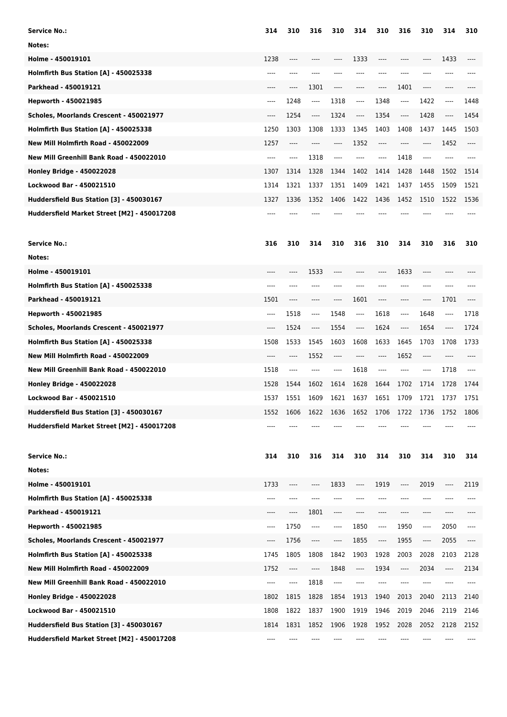| <b>Service No.:</b>                         | 314  | 310   | 316                           | 310                           | 314                                          | 310     | 316   | 310                           | 314      | 310  |
|---------------------------------------------|------|-------|-------------------------------|-------------------------------|----------------------------------------------|---------|-------|-------------------------------|----------|------|
| Notes:                                      |      |       |                               |                               |                                              |         |       |                               |          |      |
| Holme - 450019101                           | 1238 |       |                               |                               | 1333                                         | ----    |       |                               | 1433     | ---- |
| Holmfirth Bus Station [A] - 450025338       | ---- |       |                               |                               |                                              |         |       |                               | ----     |      |
| Parkhead - 450019121                        | ---- | ----  | 1301                          | ----                          |                                              | ----    | 1401  | $\hspace{1.5cm} \textbf{---}$ | ----     |      |
| Hepworth - 450021985                        | ---- | 1248  | $---$                         | 1318                          | $\hspace{1.5cm} \textbf{---}$                | 1348    | ----  | 1422                          | ----     | 1448 |
| Scholes, Moorlands Crescent - 450021977     | ---- | 1254  | ----                          | 1324                          | $---$                                        | 1354    | ----  | 1428                          | ----     | 1454 |
| Holmfirth Bus Station [A] - 450025338       | 1250 | 1303  | 1308                          | 1333                          | 1345                                         | 1403    | 1408  | 1437                          | 1445     | 1503 |
| New Mill Holmfirth Road - 450022009         | 1257 | ----  | ----                          | ----                          | 1352                                         | $-----$ | ----  | $\hspace{1.5cm} \textbf{---}$ | 1452     | ---- |
| New Mill Greenhill Bank Road - 450022010    | ---- | ----  | 1318                          | ----                          |                                              | ----    | 1418  | $\hspace{1.5cm} \textbf{---}$ | ----     |      |
| <b>Honley Bridge - 450022028</b>            | 1307 | 1314  | 1328                          | 1344                          | 1402                                         | 1414    | 1428  | 1448                          | 1502     | 1514 |
| Lockwood Bar - 450021510                    | 1314 | 1321  | 1337                          | 1351                          | 1409                                         | 1421    | 1437  | 1455                          | 1509     | 1521 |
| Huddersfield Bus Station [3] - 450030167    | 1327 | 1336  | 1352                          | 1406                          | 1422                                         | 1436    | 1452  | 1510                          | 1522     | 1536 |
| Huddersfield Market Street [M2] - 450017208 | ---  |       |                               |                               |                                              |         |       |                               |          |      |
| <b>Service No.:</b>                         | 316  | 310   | 314                           | 310                           | 316                                          | 310     | 314   | 310                           | 316      | 310  |
| Notes:                                      |      |       |                               |                               |                                              |         |       |                               |          |      |
| Holme - 450019101                           |      |       | 1533                          | ----                          |                                              | ----    | 1633  | ----                          |          |      |
| Holmfirth Bus Station [A] - 450025338       | ---- | ----  | ----                          |                               |                                              |         | ----  | ----                          | ----     |      |
| Parkhead - 450019121                        | 1501 | ----  | ----                          | ----                          | 1601                                         | $---$   | $---$ | $---$                         | 1701     | ---- |
| Hepworth - 450021985                        | ---- | 1518  | $-----$                       | 1548                          | $---$                                        | 1618    | $---$ | 1648                          | $\cdots$ | 1718 |
| Scholes, Moorlands Crescent - 450021977     | ---- | 1524  | $---$                         | 1554                          | $\cdots$                                     | 1624    | ----  | 1654                          | ----     | 1724 |
| Holmfirth Bus Station [A] - 450025338       | 1508 | 1533  | 1545                          | 1603                          | 1608                                         | 1633    | 1645  | 1703                          | 1708     | 1733 |
| New Mill Holmfirth Road - 450022009         | ---- | ----  | 1552                          | ----                          |                                              | ----    | 1652  | $---$                         | ----     |      |
| New Mill Greenhill Bank Road - 450022010    | 1518 | $---$ | ----                          | ----                          | 1618                                         | $---$   | ----  | ----                          | 1718     | ---- |
| <b>Honley Bridge - 450022028</b>            | 1528 | 1544  | 1602                          | 1614                          | 1628                                         | 1644    | 1702  | 1714                          | 1728     | 1744 |
| Lockwood Bar - 450021510                    | 1537 | 1551  | 1609                          | 1621                          | 1637                                         | 1651    | 1709  | 1721                          | 1737     | 1751 |
| Huddersfield Bus Station [3] - 450030167    | 1552 | 1606  | 1622                          | 1636                          | 1652                                         | 1706    | 1722  | 1736                          | 1752     | 1806 |
| Huddersfield Market Street [M2] - 450017208 | ---- |       |                               |                               |                                              |         |       |                               |          |      |
| <b>Service No.:</b>                         | 314  | 310   | 316                           | 314                           | 310                                          | 314     | 310   | 314                           | 310      | 314  |
| Notes:                                      |      |       |                               |                               |                                              |         |       |                               |          |      |
| Holme - 450019101                           | 1733 | ----  | ----                          | 1833                          | $\hspace{1.5cm} \textbf{---} \hspace{1.5cm}$ | 1919    | ----  | 2019                          | ----     | 2119 |
| Holmfirth Bus Station [A] - 450025338       | ---- |       |                               |                               |                                              |         |       |                               |          | ---- |
| Parkhead - 450019121                        | ---- | ----  | 1801                          | ----                          |                                              |         | ----  | ----                          | ----     |      |
| Hepworth - 450021985                        | ---- | 1750  | ----                          | ----                          | 1850                                         | ----    | 1950  | $\hspace{1.5cm} \textbf{---}$ | 2050     | ---- |
| Scholes, Moorlands Crescent - 450021977     | ---- | 1756  | $\hspace{1.5cm} \textbf{---}$ | $\hspace{1.5cm} \textbf{---}$ | 1855                                         | ----    | 1955  | $\hspace{1.5cm} \textbf{---}$ | 2055     | ---- |
| Holmfirth Bus Station [A] - 450025338       | 1745 | 1805  | 1808                          | 1842                          | 1903                                         | 1928    | 2003  | 2028                          | 2103     | 2128 |
| New Mill Holmfirth Road - 450022009         | 1752 | ----  | ----                          | 1848                          | $\hspace{1.5cm} \textbf{---} \hspace{1.5cm}$ | 1934    | ----  | 2034                          | ----     | 2134 |
| New Mill Greenhill Bank Road - 450022010    | ---- | ----  | 1818                          | ----                          |                                              |         |       |                               |          | ---- |
| <b>Honley Bridge - 450022028</b>            | 1802 | 1815  | 1828                          | 1854                          | 1913                                         | 1940    | 2013  | 2040                          | 2113     | 2140 |
| Lockwood Bar - 450021510                    | 1808 | 1822  | 1837                          | 1900                          | 1919                                         | 1946    | 2019  | 2046                          | 2119     | 2146 |
| Huddersfield Bus Station [3] - 450030167    | 1814 | 1831  | 1852                          | 1906                          | 1928                                         | 1952    | 2028  | 2052                          | 2128     | 2152 |
| Huddersfield Market Street [M2] - 450017208 | ---- |       |                               |                               |                                              | ----    |       |                               |          |      |